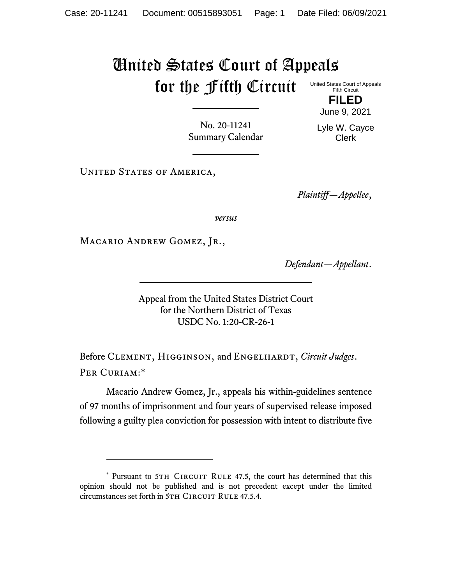## United States Court of Appeals for the Fifth Circuit United States Court of Appeals Fifth Circuit

**FILED** June 9, 2021

No. 20-11241 Summary Calendar Lyle W. Cayce Clerk

UNITED STATES OF AMERICA,

*Plaintiff—Appellee*,

*versus*

MACARIO ANDREW GOMEZ, JR.,

*Defendant—Appellant*.

Appeal from the United States District Court for the Northern District of Texas USDC No. 1:20-CR-26-1

Before CLEMENT, HIGGINSON, and ENGELHARDT, *Circuit Judges*. Per Curiam:\*

Macario Andrew Gomez, Jr., appeals his within-guidelines sentence of 97 months of imprisonment and four years of supervised release imposed following a guilty plea conviction for possession with intent to distribute five

<sup>\*</sup> Pursuant to 5TH CIRCUIT RULE 47.5, the court has determined that this opinion should not be published and is not precedent except under the limited circumstances set forth in 5TH CIRCUIT RULE 47.5.4.